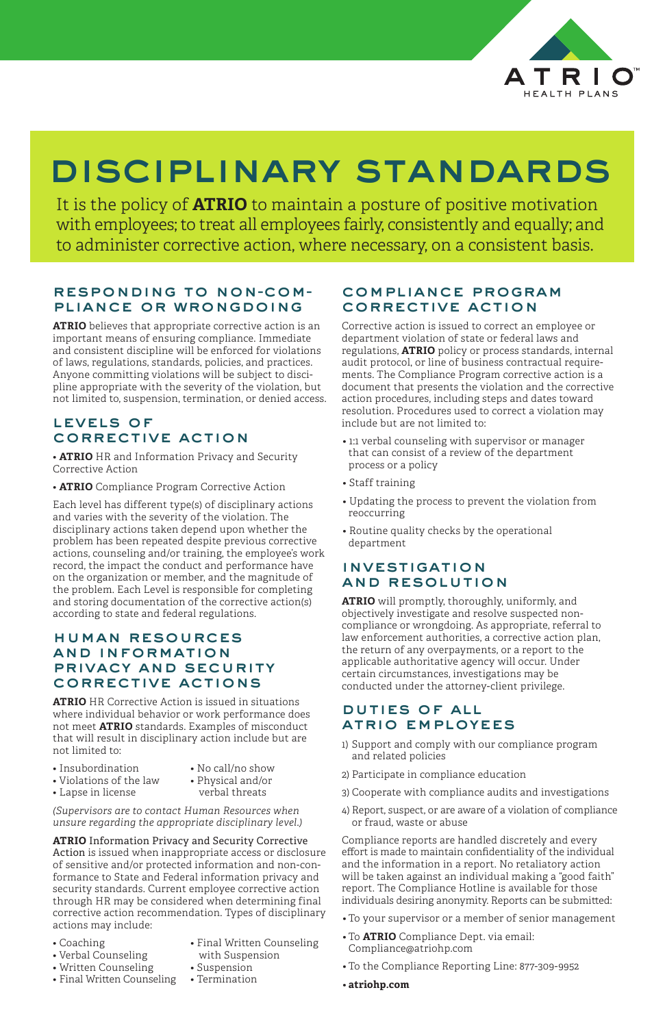

# disciplinary standards

It is the policy of **ATRIO** to maintain a posture of positive motivation with employees; to treat all employees fairly, consistently and equally; and to administer corrective action, where necessary, on a consistent basis.

# responding to non-com- pliance or wrongdoing

**ATRIO** believes that appropriate corrective action is an important means of ensuring compliance. Immediate and consistent discipline will be enforced for violations of laws, regulations, standards, policies, and practices. Anyone committing violations will be subject to discipline appropriate with the severity of the violation, but not limited to, suspension, termination, or denied access.

#### levels of corrective action

• **ATRIO** HR and Information Privacy and Security Corrective Action

• **ATRIO** Compliance Program Corrective Action

Each level has different type(s) of disciplinary actions and varies with the severity of the violation. The disciplinary actions taken depend upon whether the problem has been repeated despite previous corrective actions, counseling and/or training, the employee's work record, the impact the conduct and performance have on the organization or member, and the magnitude of the problem. Each Level is responsible for completing and storing documentation of the corrective action(s) according to state and federal regulations.

#### human resources and information privacy and security corrective actions

**ATRIO** HR Corrective Action is issued in situations where individual behavior or work performance does not meet **ATRIO** standards. Examples of misconduct that will result in disciplinary action include but are not limited to:

*(Supervisors are to contact Human Resources when unsure regarding the appropriate disciplinary level.)*

- 1) Support and comply with our compliance program and related policies
- Insubordination No call/no show
- Violations of the law Physical and/or
- Lapse in license verbal threats
- 
- 

**ATRIO** Information Privacy and Security Corrective Action is issued when inappropriate access or disclosure of sensitive and/or protected information and non-conformance to State and Federal information privacy and security standards. Current employee corrective action through HR may be considered when determining final corrective action recommendation. Types of disciplinary actions may include:

- 
- Verbal Counseling **with Suspension**
- Written Counseling Suspension
- Final Written Counseling Termination
- Coaching Final Written Counseling
	-
	-

### compliance program corrective action

Corrective action is issued to correct an employee or department violation of state or federal laws and regulations, **ATRIO** policy or process standards, internal audit protocol, or line of business contractual requirements. The Compliance Program corrective action is a document that presents the violation and the corrective action procedures, including steps and dates toward resolution. Procedures used to correct a violation may include but are not limited to:

- 1:1 verbal counseling with supervisor or manager that can consist of a review of the department process or a policy
- Staff training
- Updating the process to prevent the violation from reoccurring
- Routine quality checks by the operational department

### investigation and resolution

**ATRIO** will promptly, thoroughly, uniformly, and objectively investigate and resolve suspected noncompliance or wrongdoing. As appropriate, referral to law enforcement authorities, a corrective action plan, the return of any overpayments, or a report to the applicable authoritative agency will occur. Under certain circumstances, investigations may be conducted under the attorney-client privilege.

### duties of all atrio employees

- 2) Participate in compliance education
- 3) Cooperate with compliance audits and investigations
- 4) Report, suspect, or are aware of a violation of compliance or fraud, waste or abuse

Compliance reports are handled discretely and every effort is made to maintain confidentiality of the individual and the information in a report. No retaliatory action will be taken against an individual making a "good faith" report. The Compliance Hotline is available for those individuals desiring anonymity. Reports can be submitted:

- To your supervisor or a member of senior management
- To **ATRIO** Compliance Dept. via email: Compliance@atriohp.com
- To the Compliance Reporting Line: 877-309-9952
- **atriohp.com**